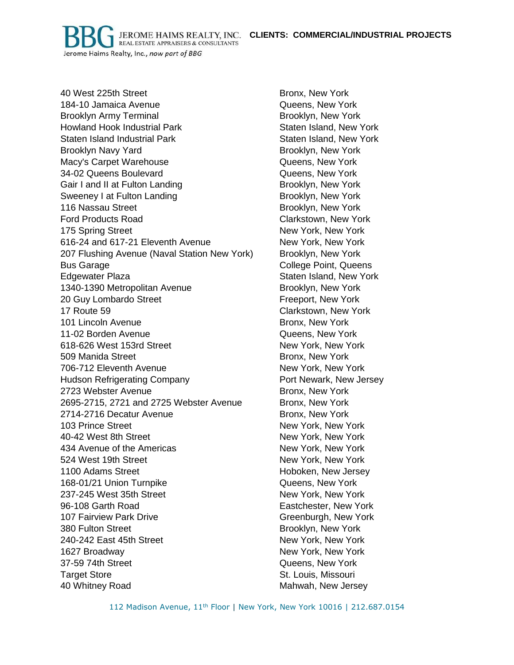**CLIENTS: COMMERCIAL/INDUSTRIAL PROJECTS**

JEROME HAIMS REALTY, INC. **REAL ESTATE APPRAISERS & CONSULTANTS** Jerome Haims Realty, Inc., now part of BBG

40 West 225th Street Bronx, New York 184-10 Jamaica Avenue Queens, New York Brooklyn Army Terminal **Brooklyn, New York** Brooklyn, New York Howland Hook Industrial Park New York Staten Island, New York Staten Island Industrial Park **Staten Island, New York** Staten Island, New York Brooklyn Navy Yard **Brooklyn, New York** Macy's Carpet Warehouse **Carpacter Contact Carpet Warehouse** Cueens, New York 34-02 Queens Boulevard Queens, New York Gair I and II at Fulton Landing The Brooklyn, New York Sweeney I at Fulton Landing The State of Brooklyn, New York 116 Nassau Street **Brooklyn**, New York Ford Products Road **Clarkstown**, New York 175 Spring Street New York, New York, New York 616-24 and 617-21 Eleventh Avenue New York, New York 207 Flushing Avenue (Naval Station New York) Brooklyn, New York Bus Garage **College Point, Queens** Edgewater Plaza **Staten Island, New York** Staten Island, New York 1340-1390 Metropolitan Avenue Brooklyn, New York 20 Guy Lombardo Street Freeport, New York 17 Route 59 Clarkstown, New York 101 Lincoln Avenue **Bronx**, New York 11-02 Borden Avenue Queens, New York 618-626 West 153rd Street New York, New York 509 Manida Street **Bronx**, New York 706-712 Eleventh Avenue New York, New York, New York Hudson Refrigerating Company **Example 20** Port Newark, New Jersey 2723 Webster Avenue **Bronx**, New York 2695-2715, 2721 and 2725 Webster Avenue Bronx, New York 2714-2716 Decatur Avenue Bronx, New York 103 Prince Street New York, New York, New York, New York, New York, 40-42 West 8th Street New York, New York, New York, New York 434 Avenue of the Americas New York, New York, New York 524 West 19th Street New York, New York, New York, 1100 Adams Street **Hoboken, New Jersey** 168-01/21 Union Turnpike Queens, New York 237-245 West 35th Street New York, New York, New York 96-108 Garth Road Eastchester, New York 107 Fairview Park Drive Greenburgh, New York 380 Fulton Street **Brooklyn, New York** Brooklyn, New York 240-242 East 45th Street New York, New York, New York 1627 Broadway New York, New York, New York, New York, New York, New York, New York 37-59 74th Street Queens, New York Target Store Store St. Louis, Missouri 40 Whitney Road Mahwah, New Jersey